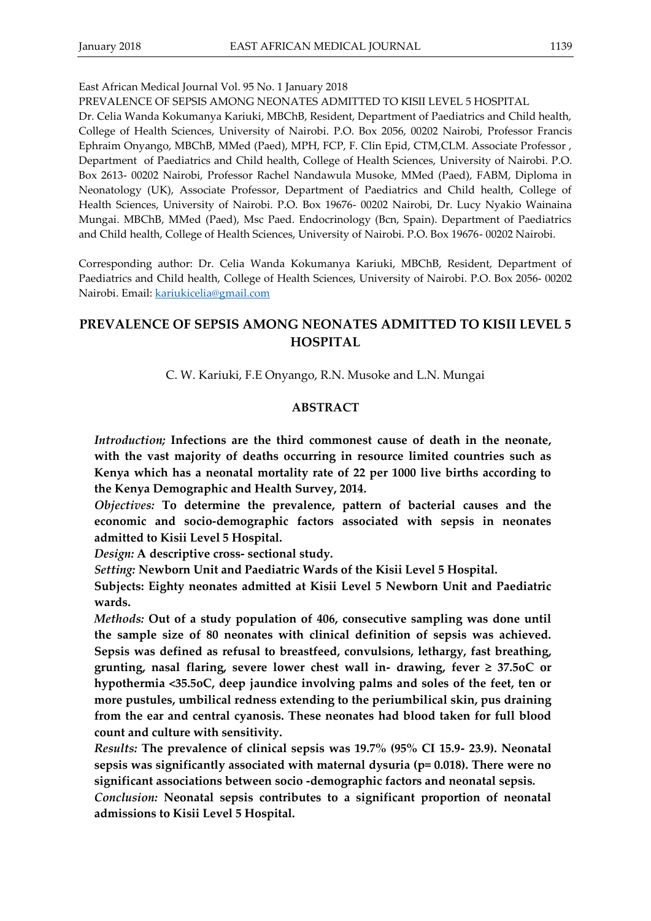### East African Medical Journal Vol. 95 No. 1 January 2018

#### PREVALENCE OF SEPSIS AMONG NEONATES ADMITTED TO KISII LEVEL 5 HOSPITAL

Dr. Celia Wanda Kokumanya Kariuki, MBChB, Resident, Department of Paediatrics and Child health, College of Health Sciences, University of Nairobi. P.O. Box 2056, 00202 Nairobi, Professor Francis Ephraim Onyango, MBChB, MMed (Paed), MPH, FCP, F. Clin Epid, CTM,CLM. Associate Professor , Department of Paediatrics and Child health, College of Health Sciences, University of Nairobi. P.O. Box 2613- 00202 Nairobi, Professor Rachel Nandawula Musoke, MMed (Paed), FABM, Diploma in Neonatology (UK), Associate Professor, Department of Paediatrics and Child health, College of Health Sciences, University of Nairobi. P.O. Box 19676- 00202 Nairobi, Dr. Lucy Nyakio Wainaina Mungai. MBChB, MMed (Paed), Msc Paed. Endocrinology (Bcn, Spain). Department of Paediatrics and Child health, College of Health Sciences, University of Nairobi. P.O. Box 19676- 00202 Nairobi.

Corresponding author: Dr. Celia Wanda Kokumanya Kariuki, MBChB, Resident, Department of Paediatrics and Child health, College of Health Sciences, University of Nairobi. P.O. Box 2056- 00202 Nairobi. Email: [kariukicelia@gmail.com](mailto:kariukicelia@gmail.com)

# **PREVALENCE OF SEPSIS AMONG NEONATES ADMITTED TO KISII LEVEL 5 HOSPITAL**

C. W. Kariuki, F.E Onyango, R.N. Musoke and L.N. Mungai

#### **ABSTRACT**

*Introduction;* **Infections are the third commonest cause of death in the neonate, with the vast majority of deaths occurring in resource limited countries such as Kenya which has a neonatal mortality rate of 22 per 1000 live births according to the Kenya Demographic and Health Survey, 2014.**

*Objectives:* **To determine the prevalence, pattern of bacterial causes and the economic and socio-demographic factors associated with sepsis in neonates admitted to Kisii Level 5 Hospital.**

*Design:* **A descriptive cross- sectional study.** 

*Setting:* **Newborn Unit and Paediatric Wards of the Kisii Level 5 Hospital.** 

**Subjects: Eighty neonates admitted at Kisii Level 5 Newborn Unit and Paediatric wards.**

*Methods:* **Out of a study population of 406, consecutive sampling was done until the sample size of 80 neonates with clinical definition of sepsis was achieved. Sepsis was defined as refusal to breastfeed, convulsions, lethargy, fast breathing, grunting, nasal flaring, severe lower chest wall in- drawing, fever ≥ 37.5oC or hypothermia <35.5oC, deep jaundice involving palms and soles of the feet, ten or more pustules, umbilical redness extending to the periumbilical skin, pus draining from the ear and central cyanosis. These neonates had blood taken for full blood count and culture with sensitivity.** 

*Results:* **The prevalence of clinical sepsis was 19.7% (95% CI 15.9- 23.9). Neonatal sepsis was significantly associated with maternal dysuria (p= 0.018). There were no significant associations between socio -demographic factors and neonatal sepsis.**

*Conclusion:* **Neonatal sepsis contributes to a significant proportion of neonatal admissions to Kisii Level 5 Hospital.**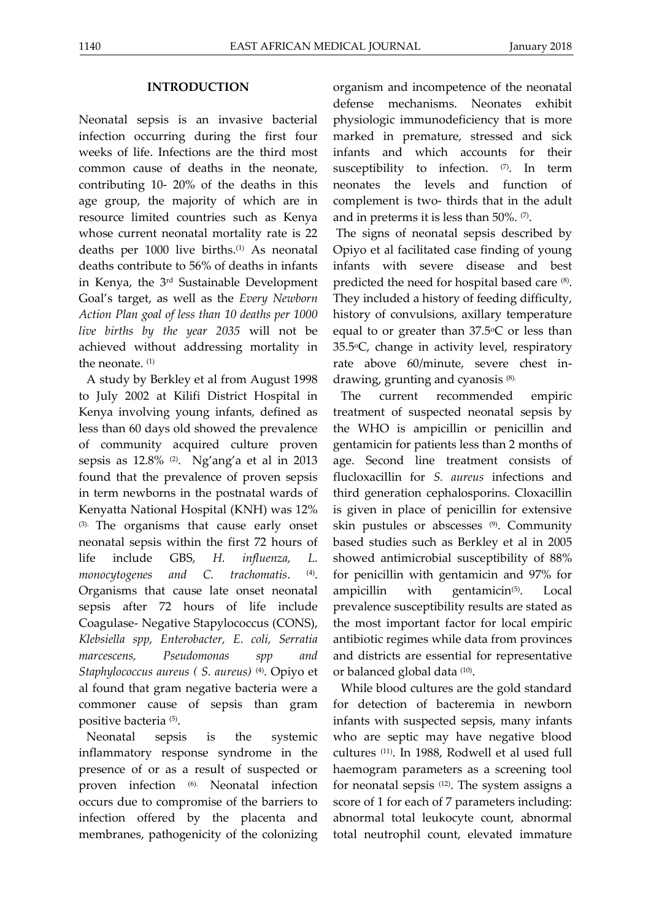### **INTRODUCTION**

Neonatal sepsis is an invasive bacterial infection occurring during the first four weeks of life. Infections are the third most common cause of deaths in the neonate, contributing 10- 20% of the deaths in this age group, the majority of which are in resource limited countries such as Kenya whose current neonatal mortality rate is 22 deaths per 1000 live births.(1) As neonatal deaths contribute to 56% of deaths in infants in Kenya, the 3rd Sustainable Development Goal's target, as well as the *Every Newborn Action Plan goal of less than 10 deaths per 1000 live births by the year 2035* will not be achieved without addressing mortality in the neonate. (1)

A study by Berkley et al from August 1998 to July 2002 at Kilifi District Hospital in Kenya involving young infants, defined as less than 60 days old showed the prevalence of community acquired culture proven sepsis as 12.8% (2). Ng'ang'a et al in 2013 found that the prevalence of proven sepsis in term newborns in the postnatal wards of Kenyatta National Hospital (KNH) was 12% (3). The organisms that cause early onset neonatal sepsis within the first 72 hours of life include GBS, *H. influenza, L. monocytogenes and C. trachomatis*. (4) . Organisms that cause late onset neonatal sepsis after 72 hours of life include Coagulase- Negative Stapylococcus (CONS), *Klebsiella spp, Enterobacter, E. coli, Serratia marcescens, Pseudomonas spp and Staphylococcus aureus ( S. aureus)* (4). Opiyo et al found that gram negative bacteria were a commoner cause of sepsis than gram positive bacteria (5) .

Neonatal sepsis is the systemic inflammatory response syndrome in the presence of or as a result of suspected or proven infection (6). Neonatal infection occurs due to compromise of the barriers to infection offered by the placenta and membranes, pathogenicity of the colonizing

organism and incompetence of the neonatal defense mechanisms. Neonates exhibit physiologic immunodeficiency that is more marked in premature, stressed and sick infants and which accounts for their susceptibility to infection.  $(7)$ . In term neonates the levels and function of complement is two- thirds that in the adult and in preterms it is less than  $50\%$ .  $\heartsuit$ .

The signs of neonatal sepsis described by Opiyo et al facilitated case finding of young infants with severe disease and best predicted the need for hospital based care  $(8)$ . They included a history of feeding difficulty, history of convulsions, axillary temperature equal to or greater than  $37.5^{\circ}$ C or less than  $35.5$ °C, change in activity level, respiratory rate above 60/minute, severe chest indrawing, grunting and cyanosis (8).

The current recommended empiric treatment of suspected neonatal sepsis by the WHO is ampicillin or penicillin and gentamicin for patients less than 2 months of age. Second line treatment consists of flucloxacillin for *S. aureus* infections and third generation cephalosporins. Cloxacillin is given in place of penicillin for extensive skin pustules or abscesses (9). Community based studies such as Berkley et al in 2005 showed antimicrobial susceptibility of 88% for penicillin with gentamicin and 97% for ampicillin with gentamicin $(5)$ . . Local prevalence susceptibility results are stated as the most important factor for local empiric antibiotic regimes while data from provinces and districts are essential for representative or balanced global data (10) .

While blood cultures are the gold standard for detection of bacteremia in newborn infants with suspected sepsis, many infants who are septic may have negative blood cultures (11). In 1988, Rodwell et al used full haemogram parameters as a screening tool for neonatal sepsis (12). The system assigns a score of 1 for each of 7 parameters including: abnormal total leukocyte count, abnormal total neutrophil count, elevated immature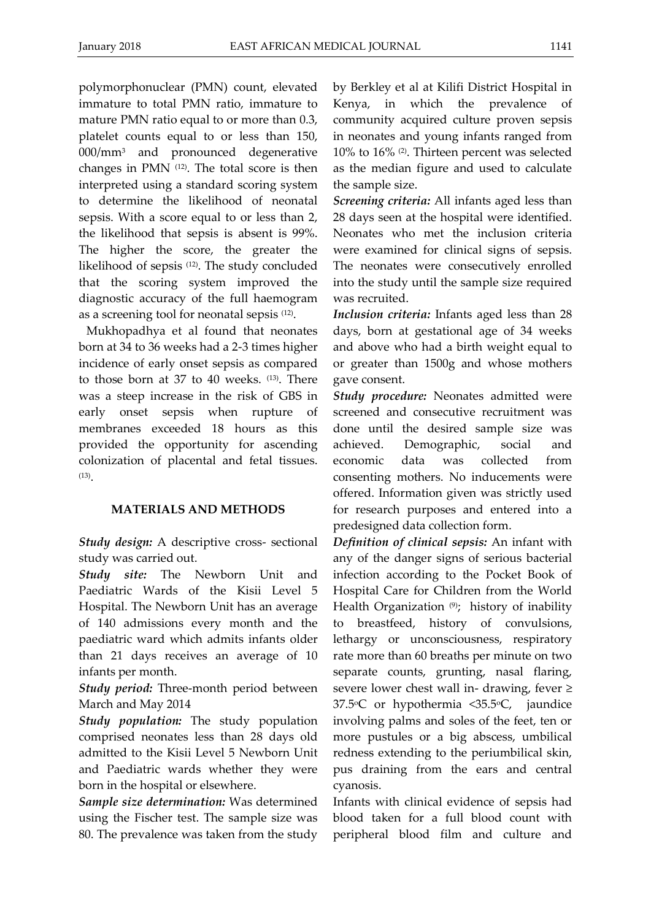polymorphonuclear (PMN) count, elevated immature to total PMN ratio, immature to mature PMN ratio equal to or more than 0.3, platelet counts equal to or less than 150, 000/mm<sup>3</sup> and pronounced degenerative changes in PMN (12). The total score is then interpreted using a standard scoring system to determine the likelihood of neonatal sepsis. With a score equal to or less than 2, the likelihood that sepsis is absent is 99%. The higher the score, the greater the likelihood of sepsis (12). The study concluded that the scoring system improved the diagnostic accuracy of the full haemogram as a screening tool for neonatal sepsis (12) .

Mukhopadhya et al found that neonates born at 34 to 36 weeks had a 2-3 times higher incidence of early onset sepsis as compared to those born at 37 to 40 weeks. (13). There was a steep increase in the risk of GBS in early onset sepsis when rupture of membranes exceeded 18 hours as this provided the opportunity for ascending colonization of placental and fetal tissues.  $^{(13)}$ .

### **MATERIALS AND METHODS**

*Study design:* A descriptive cross- sectional study was carried out.

*Study site:* The Newborn Unit and Paediatric Wards of the Kisii Level 5 Hospital. The Newborn Unit has an average of 140 admissions every month and the paediatric ward which admits infants older than 21 days receives an average of 10 infants per month.

*Study period:* Three-month period between March and May 2014

*Study population:* The study population comprised neonates less than 28 days old admitted to the Kisii Level 5 Newborn Unit and Paediatric wards whether they were born in the hospital or elsewhere.

*Sample size determination:* Was determined using the Fischer test. The sample size was 80. The prevalence was taken from the study by Berkley et al at Kilifi District Hospital in Kenya, in which the prevalence of community acquired culture proven sepsis in neonates and young infants ranged from 10% to 16% (2). Thirteen percent was selected as the median figure and used to calculate the sample size.

*Screening criteria:* All infants aged less than 28 days seen at the hospital were identified. Neonates who met the inclusion criteria were examined for clinical signs of sepsis. The neonates were consecutively enrolled into the study until the sample size required was recruited.

*Inclusion criteria:* Infants aged less than 28 days, born at gestational age of 34 weeks and above who had a birth weight equal to or greater than 1500g and whose mothers gave consent.

*Study procedure:* Neonates admitted were screened and consecutive recruitment was done until the desired sample size was achieved. Demographic, social and economic data was collected from consenting mothers. No inducements were offered. Information given was strictly used for research purposes and entered into a predesigned data collection form.

*Definition of clinical sepsis:* An infant with any of the danger signs of serious bacterial infection according to the Pocket Book of Hospital Care for Children from the World Health Organization  $(9)$ ; history of inability to breastfeed, history of convulsions, lethargy or unconsciousness, respiratory rate more than 60 breaths per minute on two separate counts, grunting, nasal flaring, severe lower chest wall in- drawing, fever  $\ge$  $37.5$ <sup>o</sup>C or hypothermia < $35.5$ <sup>o</sup>C, jaundice involving palms and soles of the feet, ten or more pustules or a big abscess, umbilical redness extending to the periumbilical skin, pus draining from the ears and central cyanosis.

Infants with clinical evidence of sepsis had blood taken for a full blood count with peripheral blood film and culture and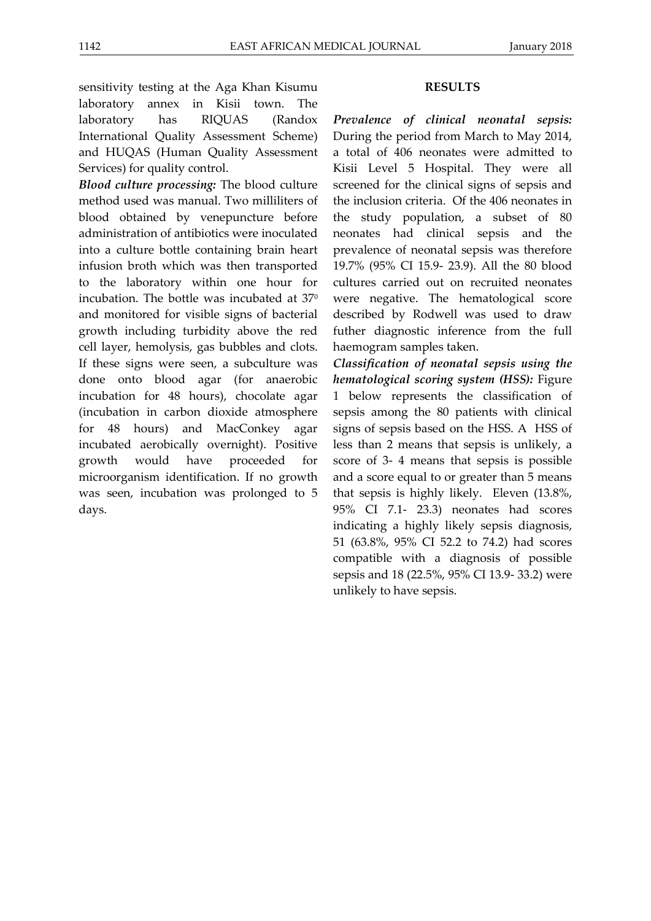sensitivity testing at the Aga Khan Kisumu laboratory annex in Kisii town. The laboratory has RIQUAS (Randox International Quality Assessment Scheme) and HUQAS (Human Quality Assessment Services) for quality control.

*Blood culture processing:* The blood culture method used was manual. Two milliliters of blood obtained by venepuncture before administration of antibiotics were inoculated into a culture bottle containing brain heart infusion broth which was then transported to the laboratory within one hour for incubation. The bottle was incubated at 37<sup>0</sup> and monitored for visible signs of bacterial growth including turbidity above the red cell layer, hemolysis, gas bubbles and clots. If these signs were seen, a subculture was done onto blood agar (for anaerobic incubation for 48 hours), chocolate agar (incubation in carbon dioxide atmosphere for 48 hours) and MacConkey agar incubated aerobically overnight). Positive growth would have proceeded for microorganism identification. If no growth was seen, incubation was prolonged to 5 days.

### **RESULTS**

*Prevalence of clinical neonatal sepsis:* During the period from March to May 2014, a total of 406 neonates were admitted to Kisii Level 5 Hospital. They were all screened for the clinical signs of sepsis and the inclusion criteria. Of the 406 neonates in the study population, a subset of 80 neonates had clinical sepsis and the prevalence of neonatal sepsis was therefore 19.7% (95% CI 15.9- 23.9). All the 80 blood cultures carried out on recruited neonates were negative. The hematological score described by Rodwell was used to draw futher diagnostic inference from the full haemogram samples taken.

*Classification of neonatal sepsis using the hematological scoring system (HSS):* Figure 1 below represents the classification of sepsis among the 80 patients with clinical signs of sepsis based on the HSS. A HSS of less than 2 means that sepsis is unlikely, a score of 3- 4 means that sepsis is possible and a score equal to or greater than 5 means that sepsis is highly likely. Eleven (13.8%, 95% CI 7.1- 23.3) neonates had scores indicating a highly likely sepsis diagnosis, 51 (63.8%, 95% CI 52.2 to 74.2) had scores compatible with a diagnosis of possible sepsis and 18 (22.5%, 95% CI 13.9- 33.2) were unlikely to have sepsis.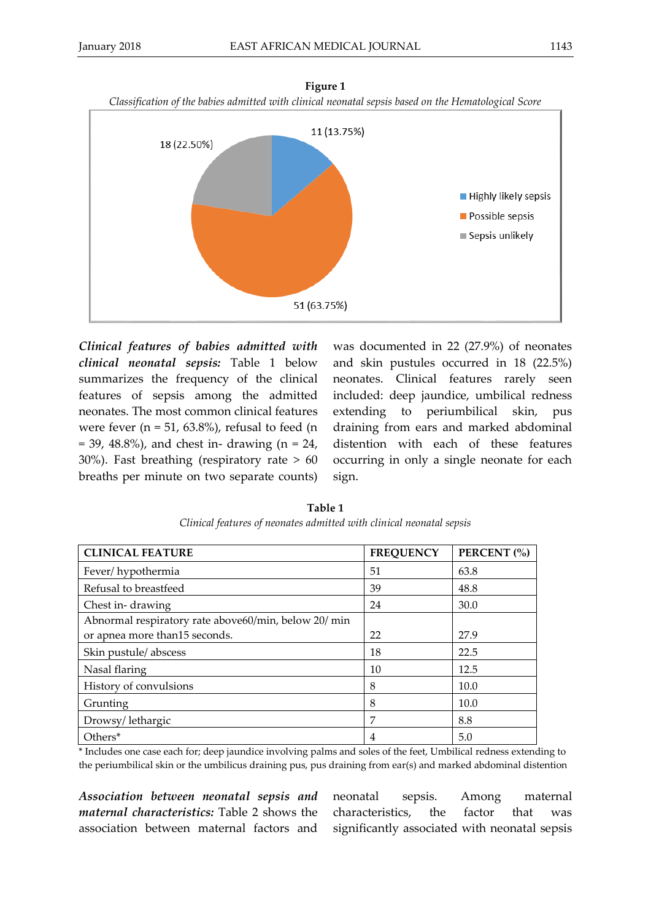

**Figure 1**

*Clinical features of babies admitted with clinical neonatal sepsis:* Table 1 below summarizes the frequency of the clinical features of sepsis among the admitted neonates. The most common clinical features were fever ( $n = 51, 63.8\%$ ), refusal to feed ( $n$  $= 39, 48.8\%)$ , and chest in- drawing (n  $= 24$ , 30%). Fast breathing (respiratory rate > 60 breaths per minute on two separate counts)

was documented in 22 (27.9%) of neonates and skin pustules occurred in 18 (22.5%) neonates. Clinical features rarely seen included: deep jaundice, umbilical redness extending to periumbilical skin, pus draining from ears and marked abdominal distention with each of these features occurring in only a single neonate for each sign.

| <b>CLINICAL FEATURE</b>                             | <b>FREQUENCY</b> | PERCENT (%) |
|-----------------------------------------------------|------------------|-------------|
| Fever/hypothermia                                   | 51               | 63.8        |
| Refusal to breastfeed                               | 39               | 48.8        |
| Chest in-drawing                                    | 24               | 30.0        |
| Abnormal respiratory rate above60/min, below 20/min |                  |             |
| or apnea more than 15 seconds.                      | 22               | 27.9        |
| Skin pustule/abscess                                | 18               | 22.5        |
| Nasal flaring                                       | 10               | 12.5        |
| History of convulsions                              | 8                | 10.0        |
| Grunting                                            | 8                | 10.0        |
| Drowsy/lethargic                                    | 7                | 8.8         |
| Others*                                             | 4                | 5.0         |

**Table 1** *Clinical features of neonates admitted with clinical neonatal sepsis*

\* Includes one case each for; deep jaundice involving palms and soles of the feet, Umbilical redness extending to the periumbilical skin or the umbilicus draining pus, pus draining from ear(s) and marked abdominal distention

*Association between neonatal sepsis and maternal characteristics:* Table 2 shows the association between maternal factors and neonatal sepsis. Among maternal characteristics, the factor that was significantly associated with neonatal sepsis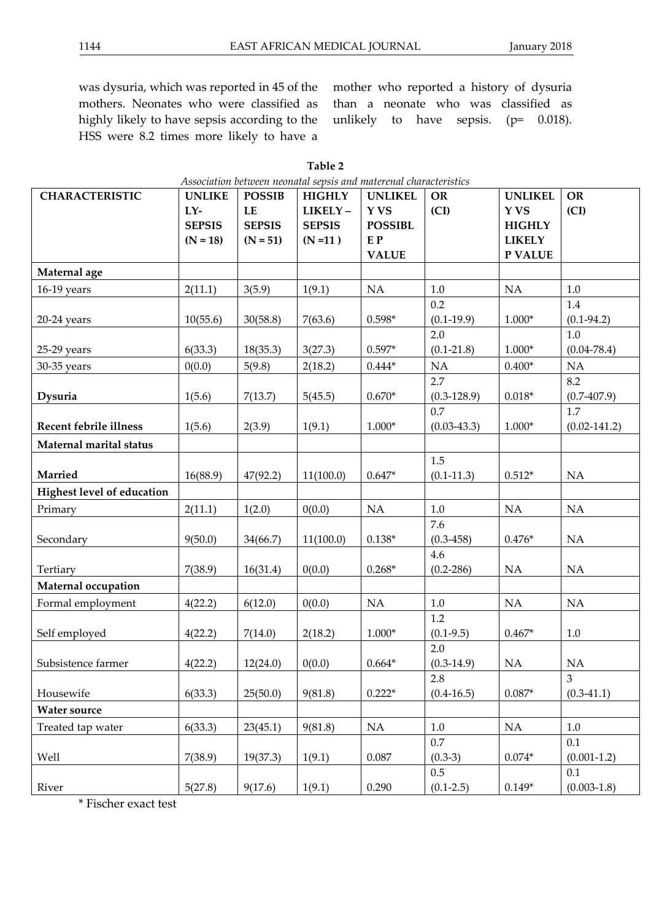was dysuria, which was reported in 45 of the mothers. Neonates who were classified as highly likely to have sepsis according to the HSS were 8.2 times more likely to have a

mother who reported a history of dysuria than a neonate who was classified as unlikely to have sepsis. (p= 0.018).

| <b>CHARACTERISTIC</b>      | <b>UNLIKE</b> | <b>POSSIB</b> | <b>HIGHLY</b> | <b>UNLIKEL</b> | <b>OR</b>       | <b>UNLIKEL</b> | <b>OR</b>        |
|----------------------------|---------------|---------------|---------------|----------------|-----------------|----------------|------------------|
|                            | LY-           | $\mathbf{LE}$ | LIKELY-       | Y VS           | (CI)            | <b>YVS</b>     | (CI)             |
|                            | <b>SEPSIS</b> | <b>SEPSIS</b> | <b>SEPSIS</b> | <b>POSSIBL</b> |                 | <b>HIGHLY</b>  |                  |
|                            | $(N = 18)$    | $(N = 51)$    | $(N = 11)$    | E P            |                 | <b>LIKELY</b>  |                  |
|                            |               |               |               | <b>VALUE</b>   |                 | P VALUE        |                  |
| Maternal age               |               |               |               |                |                 |                |                  |
| 16-19 years                | 2(11.1)       | 3(5.9)        | 1(9.1)        | NA             | $1.0\,$         | NA             | $1.0\,$          |
|                            |               |               |               |                | 0.2             |                | 1.4              |
| $20-24$ years              | 10(55.6)      | 30(58.8)      | 7(63.6)       | $0.598*$       | $(0.1-19.9)$    | $1.000*$       | $(0.1 - 94.2)$   |
|                            |               |               |               |                | 2.0             |                | $1.0\,$          |
| 25-29 years                | 6(33.3)       | 18(35.3)      | 3(27.3)       | $0.597*$       | $(0.1 - 21.8)$  | $1.000*$       | $(0.04 - 78.4)$  |
| 30-35 years                | 0(0.0)        | 5(9.8)        | 2(18.2)       | $0.444*$       | NA              | $0.400*$       | $\rm NA$         |
|                            |               |               |               |                | 2.7             |                | 8.2              |
| Dysuria                    | 1(5.6)        | 7(13.7)       | 5(45.5)       | $0.670*$       | $(0.3-128.9)$   | $0.018*$       | $(0.7-407.9)$    |
|                            |               |               |               |                | 0.7             |                | 1.7              |
| Recent febrile illness     | 1(5.6)        | 2(3.9)        | 1(9.1)        | $1.000*$       | $(0.03 - 43.3)$ | $1.000*$       | $(0.02 - 141.2)$ |
| Maternal marital status    |               |               |               |                |                 |                |                  |
|                            |               |               |               |                | 1.5             |                |                  |
| Married                    | 16(88.9)      | 47(92.2)      | 11(100.0)     | $0.647*$       | $(0.1-11.3)$    | $0.512*$       | NA               |
| Highest level of education |               |               |               |                |                 |                |                  |
| Primary                    | 2(11.1)       | 1(2.0)        | 0(0.0)        | NA             | $1.0\,$         | NA             | <b>NA</b>        |
|                            |               |               |               |                | 7.6             |                |                  |
| Secondary                  | 9(50.0)       | 34(66.7)      | 11(100.0)     | $0.138*$       | $(0.3 - 458)$   | $0.476*$       | $\rm NA$         |
|                            |               |               |               |                | 4.6             |                |                  |
| Tertiary                   | 7(38.9)       | 16(31.4)      | 0(0.0)        | $0.268*$       | $(0.2 - 286)$   | NA             | <b>NA</b>        |
| Maternal occupation        |               |               |               |                |                 |                |                  |
| Formal employment          | 4(22.2)       | 6(12.0)       | 0(0.0)        | NA             | $1.0\,$         | NA             | NA               |
|                            |               |               |               |                | 1.2             |                |                  |
| Self employed              | 4(22.2)       | 7(14.0)       | 2(18.2)       | $1.000*$       | $(0.1-9.5)$     | $0.467*$       | 1.0              |
|                            |               |               |               |                | 2.0             |                |                  |
| Subsistence farmer         | 4(22.2)       | 12(24.0)      | 0(0.0)        | $0.664*$       | $(0.3-14.9)$    | NA             | NA               |
|                            |               |               |               |                | 2.8             |                | $\mathfrak{Z}$   |
| Housewife                  | 6(33.3)       | 25(50.0)      | 9(81.8)       | $0.222*$       | $(0.4 - 16.5)$  | $0.087*$       | $(0.3-41.1)$     |
| <b>Water source</b>        |               |               |               |                |                 |                |                  |
| Treated tap water          | 6(33.3)       | 23(45.1)      | 9(81.8)       | NA             | $1.0\,$         | NA             | $1.0\,$          |
|                            |               |               |               |                | $0.7\,$         |                | 0.1              |
| Well                       | 7(38.9)       | 19(37.3)      | 1(9.1)        | 0.087          | $(0.3-3)$       | $0.074*$       | $(0.001 - 1.2)$  |
|                            |               |               |               |                | 0.5             |                | 0.1              |
| River                      | 5(27.8)       | 9(17.6)       | 1(9.1)        | 0.290          | $(0.1 - 2.5)$   | $0.149*$       | $(0.003 - 1.8)$  |

| Table 2                                                                        |  |
|--------------------------------------------------------------------------------|--|
| والمقسط ووسوال الويستين والمستواد والمستول المستوين بسويسا والمستواد والمستوجب |  |

\* Fischer exact test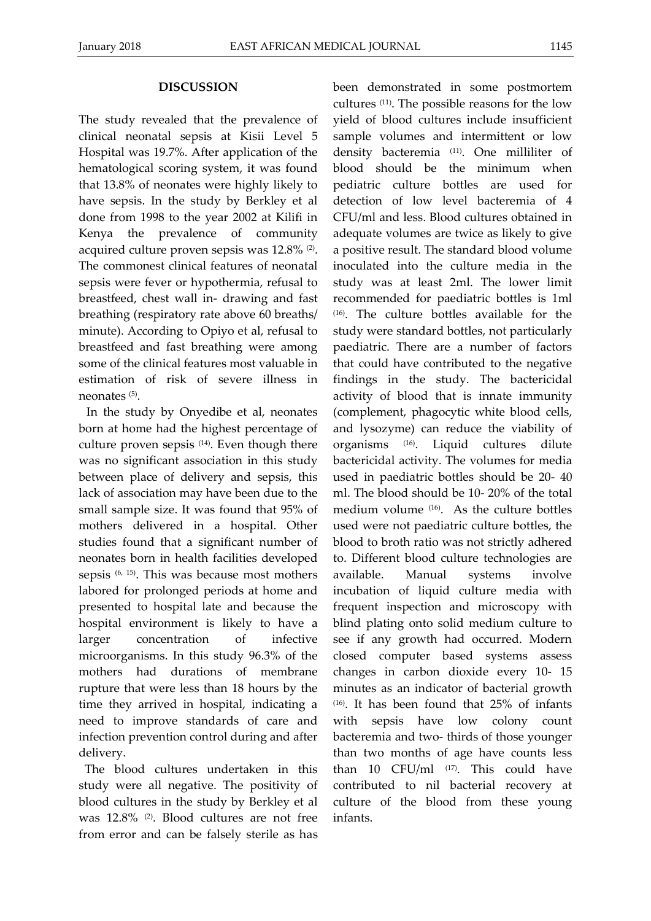#### **DISCUSSION**

The study revealed that the prevalence of clinical neonatal sepsis at Kisii Level 5 Hospital was 19.7%. After application of the hematological scoring system, it was found that 13.8% of neonates were highly likely to have sepsis. In the study by Berkley et al done from 1998 to the year 2002 at Kilifi in Kenya the prevalence of community acquired culture proven sepsis was 12.8% (2). The commonest clinical features of neonatal sepsis were fever or hypothermia, refusal to breastfeed, chest wall in- drawing and fast breathing (respiratory rate above 60 breaths/ minute). According to Opiyo et al, refusal to breastfeed and fast breathing were among some of the clinical features most valuable in estimation of risk of severe illness in neonates (5).

In the study by Onyedibe et al, neonates born at home had the highest percentage of culture proven sepsis (14). Even though there was no significant association in this study between place of delivery and sepsis, this lack of association may have been due to the small sample size. It was found that 95% of mothers delivered in a hospital. Other studies found that a significant number of neonates born in health facilities developed sepsis (6, 15). This was because most mothers labored for prolonged periods at home and presented to hospital late and because the hospital environment is likely to have a larger concentration of infective microorganisms. In this study 96.3% of the mothers had durations of membrane rupture that were less than 18 hours by the time they arrived in hospital, indicating a need to improve standards of care and infection prevention control during and after delivery.

 The blood cultures undertaken in this study were all negative. The positivity of blood cultures in the study by Berkley et al was 12.8% (2). Blood cultures are not free from error and can be falsely sterile as has been demonstrated in some postmortem cultures (11). The possible reasons for the low yield of blood cultures include insufficient sample volumes and intermittent or low density bacteremia (11). One milliliter of blood should be the minimum when pediatric culture bottles are used for detection of low level bacteremia of 4 CFU/ml and less. Blood cultures obtained in adequate volumes are twice as likely to give a positive result. The standard blood volume inoculated into the culture media in the study was at least 2ml. The lower limit recommended for paediatric bottles is 1ml (16). The culture bottles available for the study were standard bottles, not particularly paediatric. There are a number of factors that could have contributed to the negative findings in the study. The bactericidal activity of blood that is innate immunity (complement, phagocytic white blood cells, and lysozyme) can reduce the viability of organisms (16). Liquid cultures dilute bactericidal activity. The volumes for media used in paediatric bottles should be 20- 40 ml. The blood should be 10- 20% of the total medium volume (16). As the culture bottles used were not paediatric culture bottles, the blood to broth ratio was not strictly adhered to. Different blood culture technologies are available. Manual systems involve incubation of liquid culture media with frequent inspection and microscopy with blind plating onto solid medium culture to see if any growth had occurred. Modern closed computer based systems assess changes in carbon dioxide every 10- 15 minutes as an indicator of bacterial growth (16). It has been found that 25% of infants with sepsis have low colony count bacteremia and two- thirds of those younger than two months of age have counts less than 10  $CFU/ml$  (17). This could have contributed to nil bacterial recovery at culture of the blood from these young infants.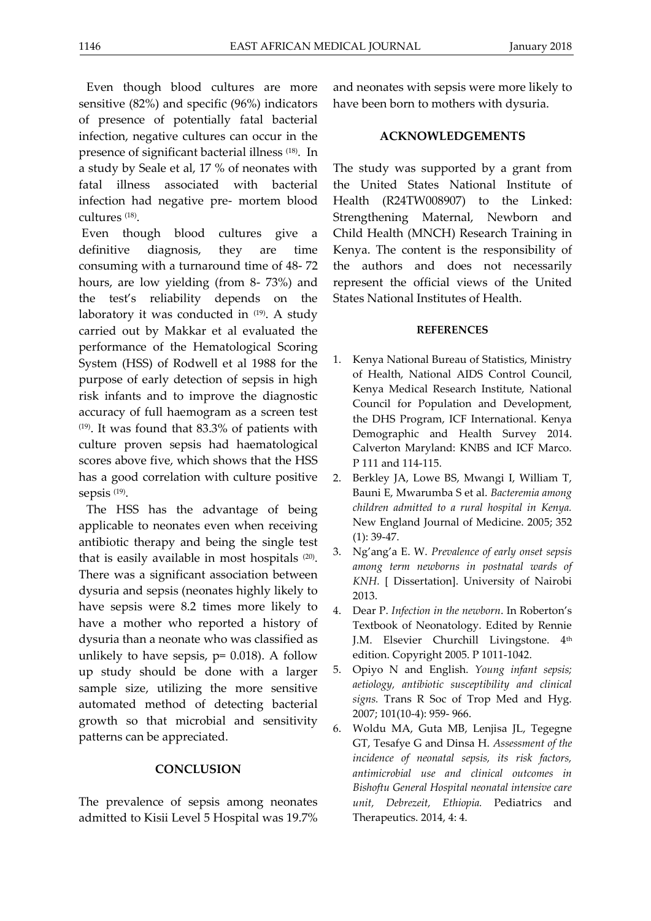Even though blood cultures are more sensitive (82%) and specific (96%) indicators of presence of potentially fatal bacterial infection, negative cultures can occur in the presence of significant bacterial illness (18). In a study by Seale et al, 17 % of neonates with fatal illness associated with bacterial infection had negative pre- mortem blood cultures (18) .

Even though blood cultures give a definitive diagnosis, they are time consuming with a turnaround time of 48- 72 hours, are low yielding (from 8- 73%) and the test's reliability depends on the laboratory it was conducted in  $(19)$ . A study carried out by Makkar et al evaluated the performance of the Hematological Scoring System (HSS) of Rodwell et al 1988 for the purpose of early detection of sepsis in high risk infants and to improve the diagnostic accuracy of full haemogram as a screen test (19). It was found that 83.3% of patients with culture proven sepsis had haematological scores above five, which shows that the HSS has a good correlation with culture positive sepsis (19) .

The HSS has the advantage of being applicable to neonates even when receiving antibiotic therapy and being the single test that is easily available in most hospitals (20) . There was a significant association between dysuria and sepsis (neonates highly likely to have sepsis were 8.2 times more likely to have a mother who reported a history of dysuria than a neonate who was classified as unlikely to have sepsis,  $p= 0.018$ ). A follow up study should be done with a larger sample size, utilizing the more sensitive automated method of detecting bacterial growth so that microbial and sensitivity patterns can be appreciated.

# **CONCLUSION**

The prevalence of sepsis among neonates admitted to Kisii Level 5 Hospital was 19.7% and neonates with sepsis were more likely to have been born to mothers with dysuria.

# **ACKNOWLEDGEMENTS**

The study was supported by a grant from the United States National Institute of Health (R24TW008907) to the Linked: Strengthening Maternal, Newborn and Child Health (MNCH) Research Training in Kenya. The content is the responsibility of the authors and does not necessarily represent the official views of the United States National Institutes of Health.

### **REFERENCES**

- 1. Kenya National Bureau of Statistics, Ministry of Health, National AIDS Control Council, Kenya Medical Research Institute, National Council for Population and Development, the DHS Program, ICF International. Kenya Demographic and Health Survey 2014. Calverton Maryland: KNBS and ICF Marco. P 111 and 114-115.
- 2. Berkley JA, Lowe BS, Mwangi I, William T, Bauni E, Mwarumba S et al. *Bacteremia among children admitted to a rural hospital in Kenya.* New England Journal of Medicine. 2005; 352  $(1): 39-47.$
- 3. Ng'ang'a E. W. *Prevalence of early onset sepsis among term newborns in postnatal wards of KNH.* [ Dissertation]. University of Nairobi 2013.
- 4. Dear P. *Infection in the newborn*. In Roberton's Textbook of Neonatology. Edited by Rennie J.M. Elsevier Churchill Livingstone. 4<sup>th</sup> edition. Copyright 2005. P 1011-1042.
- 5. Opiyo N and English. *Young infant sepsis; aetiology, antibiotic susceptibility and clinical signs.* Trans R Soc of Trop Med and Hyg. 2007; 101(10-4): 959- 966.
- 6. Woldu MA, Guta MB, Lenjisa JL, Tegegne GT, Tesafye G and Dinsa H. *Assessment of the incidence of neonatal sepsis, its risk factors, antimicrobial use and clinical outcomes in Bishoftu General Hospital neonatal intensive care unit, Debrezeit, Ethiopia.* Pediatrics and Therapeutics. 2014, 4: 4.